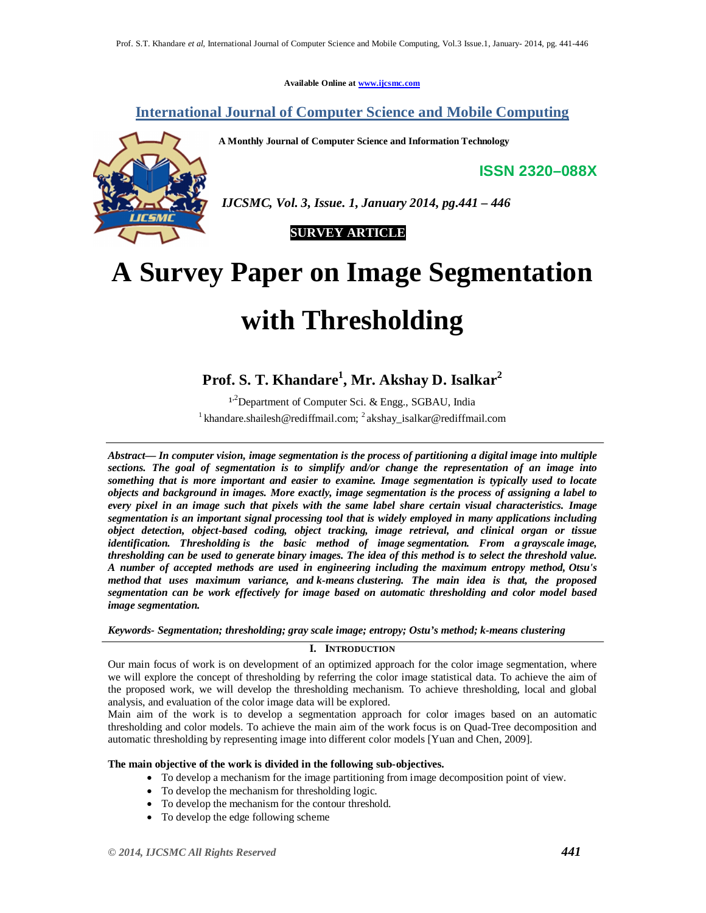**Available Online at www.ijcsmc.com**

**International Journal of Computer Science and Mobile Computing**

**A Monthly Journal of Computer Science and Information Technology**

**ISSN 2320–088X**



*IJCSMC, Vol. 3, Issue. 1, January 2014, pg.441 – 446*

 **SURVEY ARTICLE**

# **A Survey Paper on Image Segmentation with Thresholding**

# **Prof. S. T. Khandare<sup>1</sup> , Mr. Akshay D. Isalkar<sup>2</sup>**

1,2Department of Computer Sci. & Engg., SGBAU, India <sup>1</sup> khandare.shailesh@rediffmail.com; <sup>2</sup> akshay\_isalkar@rediffmail.com

*Abstract— In computer vision, image segmentation is the process of partitioning a digital image into multiple sections. The goal of segmentation is to simplify and/or change the representation of an image into something that is more important and easier to examine. Image segmentation is typically used to locate objects and background in images. More exactly, image segmentation is the process of assigning a label to every pixel in an image such that pixels with the same label share certain visual characteristics. Image segmentation is an important signal processing tool that is widely employed in many applications including object detection, object-based coding, object tracking, image retrieval, and clinical organ or tissue identification. Thresholding is the basic method of image segmentation. From a grayscale image, thresholding can be used to generate binary images. The idea of this method is to select the threshold value. A number of accepted methods are used in engineering including the maximum entropy method, Otsu's method that uses maximum variance, and k-means clustering. The main idea is that, the proposed segmentation can be work effectively for image based on automatic thresholding and color model based image segmentation.*

## *Keywords- Segmentation; thresholding; gray scale image; entropy; Ostu's method; k-means clustering*

# **I. INTRODUCTION**

Our main focus of work is on development of an optimized approach for the color image segmentation, where we will explore the concept of thresholding by referring the color image statistical data. To achieve the aim of the proposed work, we will develop the thresholding mechanism. To achieve thresholding, local and global analysis, and evaluation of the color image data will be explored.

Main aim of the work is to develop a segmentation approach for color images based on an automatic thresholding and color models. To achieve the main aim of the work focus is on Quad-Tree decomposition and automatic thresholding by representing image into different color models [Yuan and Chen, 2009].

## **The main objective of the work is divided in the following sub-objectives.**

- To develop a mechanism for the image partitioning from image decomposition point of view.
- To develop the mechanism for thresholding logic.
- To develop the mechanism for the contour threshold.
- To develop the edge following scheme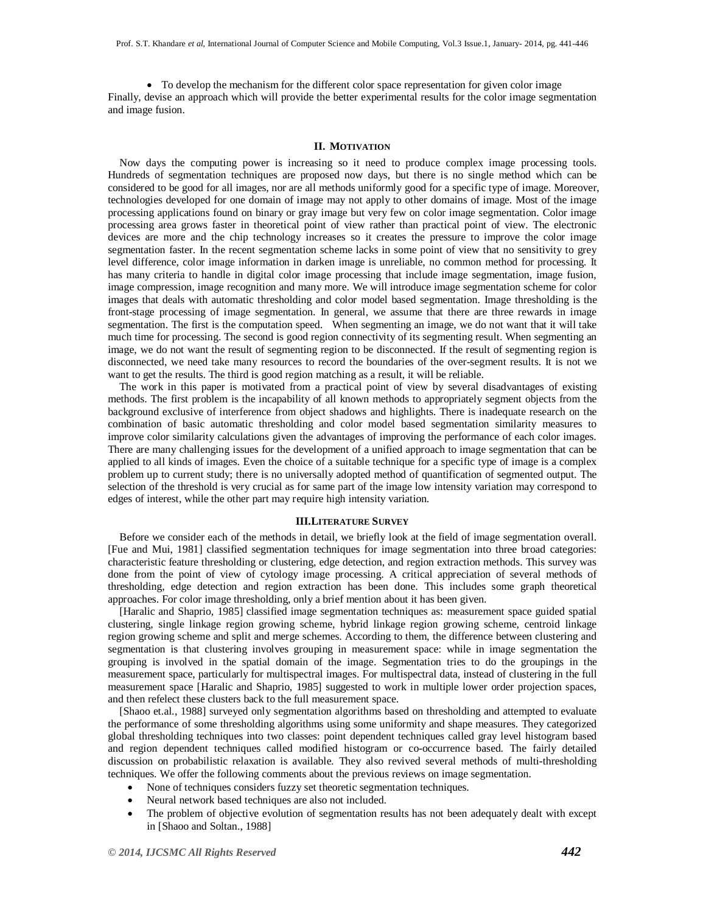• To develop the mechanism for the different color space representation for given color image Finally, devise an approach which will provide the better experimental results for the color image segmentation and image fusion.

#### **II. MOTIVATION**

Now days the computing power is increasing so it need to produce complex image processing tools. Hundreds of segmentation techniques are proposed now days, but there is no single method which can be considered to be good for all images, nor are all methods uniformly good for a specific type of image. Moreover, technologies developed for one domain of image may not apply to other domains of image. Most of the image processing applications found on binary or gray image but very few on color image segmentation. Color image processing area grows faster in theoretical point of view rather than practical point of view. The electronic devices are more and the chip technology increases so it creates the pressure to improve the color image segmentation faster. In the recent segmentation scheme lacks in some point of view that no sensitivity to grey level difference, color image information in darken image is unreliable, no common method for processing. It has many criteria to handle in digital color image processing that include image segmentation, image fusion, image compression, image recognition and many more. We will introduce image segmentation scheme for color images that deals with automatic thresholding and color model based segmentation. Image thresholding is the front-stage processing of image segmentation. In general, we assume that there are three rewards in image segmentation. The first is the computation speed. When segmenting an image, we do not want that it will take much time for processing. The second is good region connectivity of its segmenting result. When segmenting an image, we do not want the result of segmenting region to be disconnected. If the result of segmenting region is disconnected, we need take many resources to record the boundaries of the over-segment results. It is not we want to get the results. The third is good region matching as a result, it will be reliable.

The work in this paper is motivated from a practical point of view by several disadvantages of existing methods. The first problem is the incapability of all known methods to appropriately segment objects from the background exclusive of interference from object shadows and highlights. There is inadequate research on the combination of basic automatic thresholding and color model based segmentation similarity measures to improve color similarity calculations given the advantages of improving the performance of each color images. There are many challenging issues for the development of a unified approach to image segmentation that can be applied to all kinds of images. Even the choice of a suitable technique for a specific type of image is a complex problem up to current study; there is no universally adopted method of quantification of segmented output. The selection of the threshold is very crucial as for same part of the image low intensity variation may correspond to edges of interest, while the other part may require high intensity variation.

#### **III.LITERATURE SURVEY**

Before we consider each of the methods in detail, we briefly look at the field of image segmentation overall. [Fue and Mui, 1981] classified segmentation techniques for image segmentation into three broad categories: characteristic feature thresholding or clustering, edge detection, and region extraction methods. This survey was done from the point of view of cytology image processing. A critical appreciation of several methods of thresholding, edge detection and region extraction has been done. This includes some graph theoretical approaches. For color image thresholding, only a brief mention about it has been given.

[Haralic and Shaprio, 1985] classified image segmentation techniques as: measurement space guided spatial clustering, single linkage region growing scheme, hybrid linkage region growing scheme, centroid linkage region growing scheme and split and merge schemes. According to them, the difference between clustering and segmentation is that clustering involves grouping in measurement space: while in image segmentation the grouping is involved in the spatial domain of the image. Segmentation tries to do the groupings in the measurement space, particularly for multispectral images. For multispectral data, instead of clustering in the full measurement space [Haralic and Shaprio, 1985] suggested to work in multiple lower order projection spaces, and then refelect these clusters back to the full measurement space.

[Shaoo et.al., 1988] surveyed only segmentation algorithms based on thresholding and attempted to evaluate the performance of some thresholding algorithms using some uniformity and shape measures. They categorized global thresholding techniques into two classes: point dependent techniques called gray level histogram based and region dependent techniques called modified histogram or co-occurrence based. The fairly detailed discussion on probabilistic relaxation is available. They also revived several methods of multi-thresholding techniques. We offer the following comments about the previous reviews on image segmentation.

- None of techniques considers fuzzy set theoretic segmentation techniques.
- Neural network based techniques are also not included.
- The problem of objective evolution of segmentation results has not been adequately dealt with except in [Shaoo and Soltan., 1988]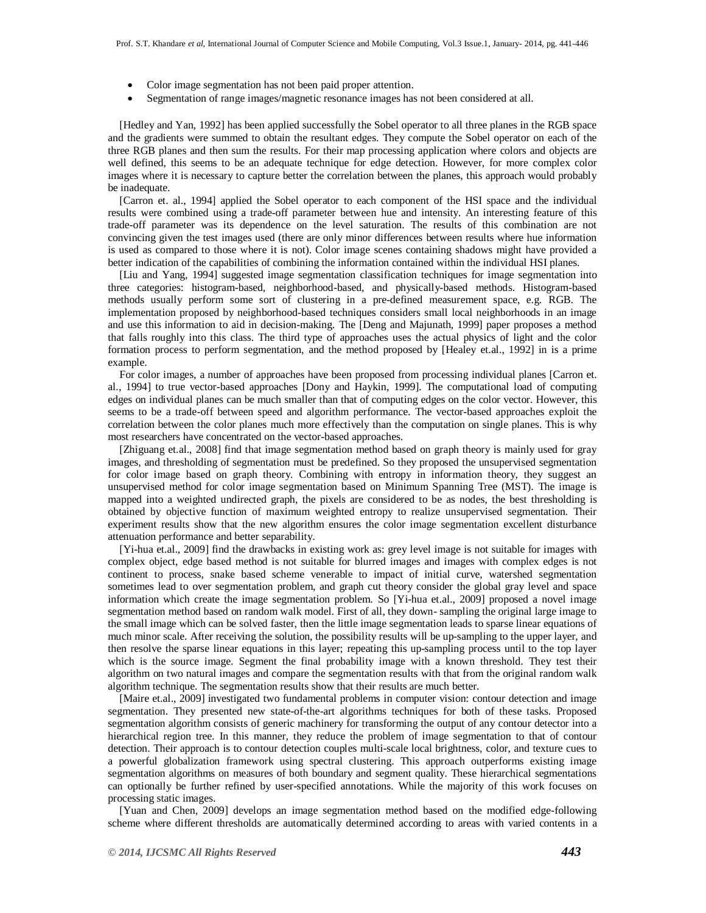- Color image segmentation has not been paid proper attention.
- Segmentation of range images/magnetic resonance images has not been considered at all.

[Hedley and Yan, 1992] has been applied successfully the Sobel operator to all three planes in the RGB space and the gradients were summed to obtain the resultant edges. They compute the Sobel operator on each of the three RGB planes and then sum the results. For their map processing application where colors and objects are well defined, this seems to be an adequate technique for edge detection. However, for more complex color images where it is necessary to capture better the correlation between the planes, this approach would probably be inadequate.

[Carron et. al., 1994] applied the Sobel operator to each component of the HSI space and the individual results were combined using a trade-off parameter between hue and intensity. An interesting feature of this trade-off parameter was its dependence on the level saturation. The results of this combination are not convincing given the test images used (there are only minor differences between results where hue information is used as compared to those where it is not). Color image scenes containing shadows might have provided a better indication of the capabilities of combining the information contained within the individual HSI planes.

[Liu and Yang, 1994] suggested image segmentation classification techniques for image segmentation into three categories: histogram-based, neighborhood-based, and physically-based methods. Histogram-based methods usually perform some sort of clustering in a pre-defined measurement space, e.g. RGB. The implementation proposed by neighborhood-based techniques considers small local neighborhoods in an image and use this information to aid in decision-making. The [Deng and Majunath, 1999] paper proposes a method that falls roughly into this class. The third type of approaches uses the actual physics of light and the color formation process to perform segmentation, and the method proposed by [Healey et.al., 1992] in is a prime example.

For color images, a number of approaches have been proposed from processing individual planes [Carron et. al., 1994] to true vector-based approaches [Dony and Haykin, 1999]. The computational load of computing edges on individual planes can be much smaller than that of computing edges on the color vector. However, this seems to be a trade-off between speed and algorithm performance. The vector-based approaches exploit the correlation between the color planes much more effectively than the computation on single planes. This is why most researchers have concentrated on the vector-based approaches.

[Zhiguang et.al., 2008] find that image segmentation method based on graph theory is mainly used for gray images, and thresholding of segmentation must be predefined. So they proposed the unsupervised segmentation for color image based on graph theory. Combining with entropy in information theory, they suggest an unsupervised method for color image segmentation based on Minimum Spanning Tree (MST). The image is mapped into a weighted undirected graph, the pixels are considered to be as nodes, the best thresholding is obtained by objective function of maximum weighted entropy to realize unsupervised segmentation. Their experiment results show that the new algorithm ensures the color image segmentation excellent disturbance attenuation performance and better separability.

[Yi-hua et.al., 2009] find the drawbacks in existing work as: grey level image is not suitable for images with complex object, edge based method is not suitable for blurred images and images with complex edges is not continent to process, snake based scheme venerable to impact of initial curve, watershed segmentation sometimes lead to over segmentation problem, and graph cut theory consider the global gray level and space information which create the image segmentation problem. So [Yi-hua et.al., 2009] proposed a novel image segmentation method based on random walk model. First of all, they down- sampling the original large image to the small image which can be solved faster, then the little image segmentation leads to sparse linear equations of much minor scale. After receiving the solution, the possibility results will be up-sampling to the upper layer, and then resolve the sparse linear equations in this layer; repeating this up-sampling process until to the top layer which is the source image. Segment the final probability image with a known threshold. They test their algorithm on two natural images and compare the segmentation results with that from the original random walk algorithm technique. The segmentation results show that their results are much better.

[Maire et.al., 2009] investigated two fundamental problems in computer vision: contour detection and image segmentation. They presented new state-of-the-art algorithms techniques for both of these tasks. Proposed segmentation algorithm consists of generic machinery for transforming the output of any contour detector into a hierarchical region tree. In this manner, they reduce the problem of image segmentation to that of contour detection. Their approach is to contour detection couples multi-scale local brightness, color, and texture cues to a powerful globalization framework using spectral clustering. This approach outperforms existing image segmentation algorithms on measures of both boundary and segment quality. These hierarchical segmentations can optionally be further refined by user-specified annotations. While the majority of this work focuses on processing static images.

[Yuan and Chen, 2009] develops an image segmentation method based on the modified edge-following scheme where different thresholds are automatically determined according to areas with varied contents in a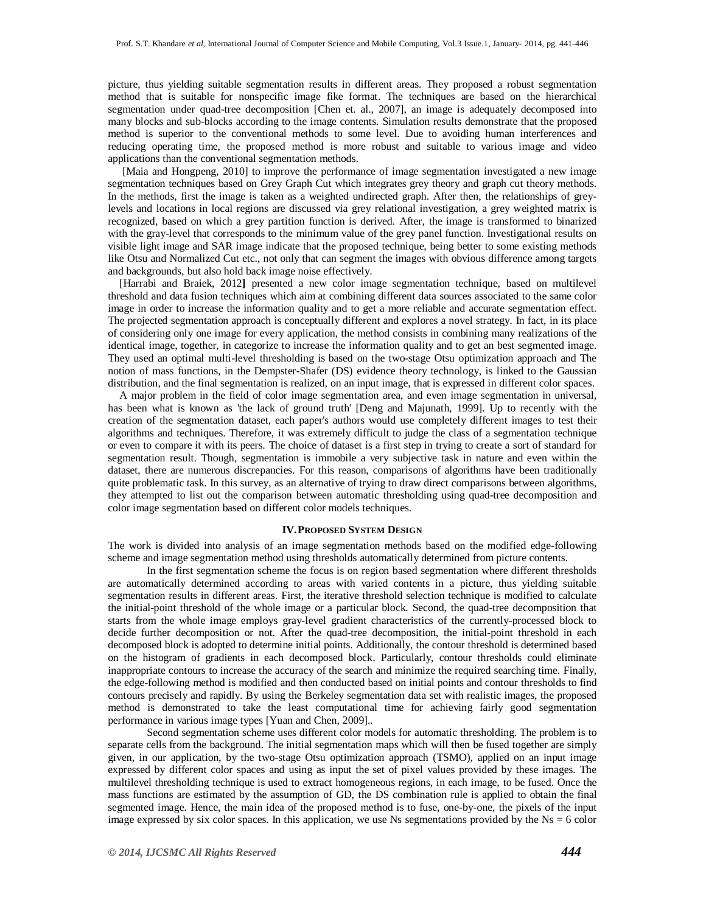picture, thus yielding suitable segmentation results in different areas. They proposed a robust segmentation method that is suitable for nonspecific image fike format. The techniques are based on the hierarchical segmentation under quad-tree decomposition [Chen et. al., 2007], an image is adequately decomposed into many blocks and sub-blocks according to the image contents. Simulation results demonstrate that the proposed method is superior to the conventional methods to some level. Due to avoiding human interferences and reducing operating time, the proposed method is more robust and suitable to various image and video applications than the conventional segmentation methods.

[Maia and Hongpeng, 2010] to improve the performance of image segmentation investigated a new image segmentation techniques based on Grey Graph Cut which integrates grey theory and graph cut theory methods. In the methods, first the image is taken as a weighted undirected graph. After then, the relationships of greylevels and locations in local regions are discussed via grey relational investigation, a grey weighted matrix is recognized, based on which a grey partition function is derived. After, the image is transformed to binarized with the gray-level that corresponds to the minimum value of the grey panel function. Investigational results on visible light image and SAR image indicate that the proposed technique, being better to some existing methods like Otsu and Normalized Cut etc., not only that can segment the images with obvious difference among targets and backgrounds, but also hold back image noise effectively.

[Harrabi and Braiek, 2012**]** presented a new color image segmentation technique, based on multilevel threshold and data fusion techniques which aim at combining different data sources associated to the same color image in order to increase the information quality and to get a more reliable and accurate segmentation effect. The projected segmentation approach is conceptually different and explores a novel strategy. In fact, in its place of considering only one image for every application, the method consists in combining many realizations of the identical image, together, in categorize to increase the information quality and to get an best segmented image. They used an optimal multi-level thresholding is based on the two-stage Otsu optimization approach and The notion of mass functions, in the Dempster-Shafer (DS) evidence theory technology, is linked to the Gaussian distribution, and the final segmentation is realized, on an input image, that is expressed in different color spaces.

A major problem in the field of color image segmentation area, and even image segmentation in universal, has been what is known as 'the lack of ground truth' [Deng and Majunath, 1999]. Up to recently with the creation of the segmentation dataset, each paper's authors would use completely different images to test their algorithms and techniques. Therefore, it was extremely difficult to judge the class of a segmentation technique or even to compare it with its peers. The choice of dataset is a first step in trying to create a sort of standard for segmentation result. Though, segmentation is immobile a very subjective task in nature and even within the dataset, there are numerous discrepancies. For this reason, comparisons of algorithms have been traditionally quite problematic task. In this survey, as an alternative of trying to draw direct comparisons between algorithms, they attempted to list out the comparison between automatic thresholding using quad-tree decomposition and color image segmentation based on different color models techniques.

#### **IV.PROPOSED SYSTEM DESIGN**

The work is divided into analysis of an image segmentation methods based on the modified edge-following scheme and image segmentation method using thresholds automatically determined from picture contents.

In the first segmentation scheme the focus is on region based segmentation where different thresholds are automatically determined according to areas with varied contents in a picture, thus yielding suitable segmentation results in different areas. First, the iterative threshold selection technique is modified to calculate the initial-point threshold of the whole image or a particular block. Second, the quad-tree decomposition that starts from the whole image employs gray-level gradient characteristics of the currently-processed block to decide further decomposition or not. After the quad-tree decomposition, the initial-point threshold in each decomposed block is adopted to determine initial points. Additionally, the contour threshold is determined based on the histogram of gradients in each decomposed block. Particularly, contour thresholds could eliminate inappropriate contours to increase the accuracy of the search and minimize the required searching time. Finally, the edge-following method is modified and then conducted based on initial points and contour thresholds to find contours precisely and rapidly. By using the Berkeley segmentation data set with realistic images, the proposed method is demonstrated to take the least computational time for achieving fairly good segmentation performance in various image types [Yuan and Chen, 2009]..

Second segmentation scheme uses different color models for automatic thresholding. The problem is to separate cells from the background. The initial segmentation maps which will then be fused together are simply given, in our application, by the two-stage Otsu optimization approach (TSMO), applied on an input image expressed by different color spaces and using as input the set of pixel values provided by these images. The multilevel thresholding technique is used to extract homogeneous regions, in each image, to be fused. Once the mass functions are estimated by the assumption of GD, the DS combination rule is applied to obtain the final segmented image. Hence, the main idea of the proposed method is to fuse, one-by-one, the pixels of the input image expressed by six color spaces. In this application, we use Ns segmentations provided by the  $Ns = 6$  color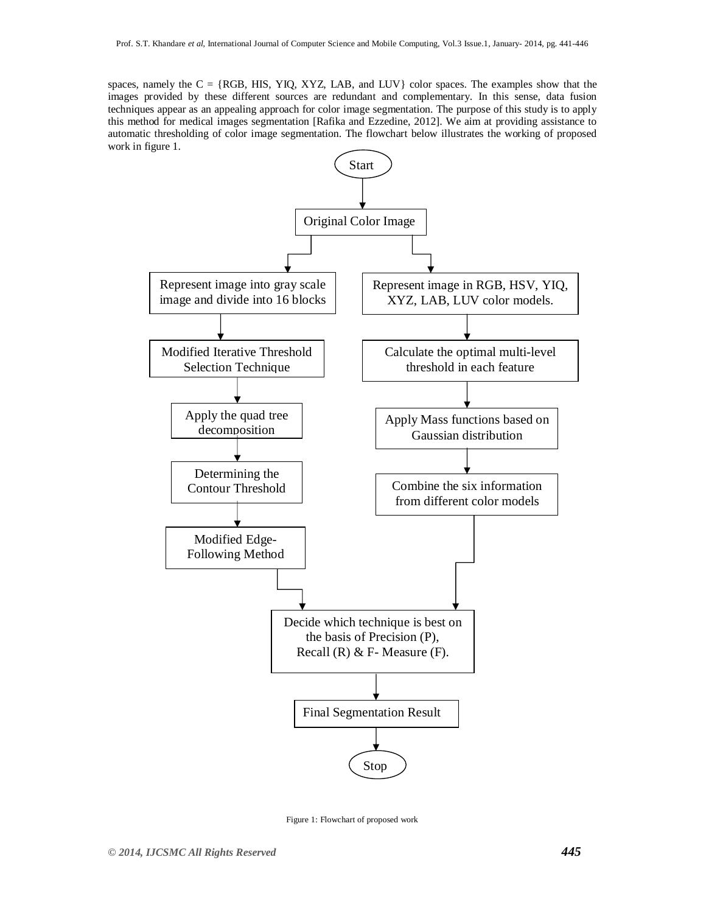spaces, namely the  $C = \{RGB, HIS, YIQ, XYZ, LAB, and LUV\}$  color spaces. The examples show that the images provided by these different sources are redundant and complementary. In this sense, data fusion techniques appear as an appealing approach for color image segmentation. The purpose of this study is to apply this method for medical images segmentation [Rafika and Ezzedine, 2012]. We aim at providing assistance to automatic thresholding of color image segmentation. The flowchart below illustrates the working of proposed work in figure 1.



Figure 1: Flowchart of proposed work